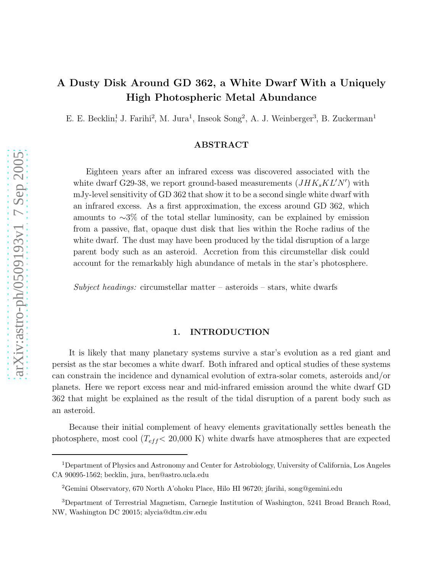# A Dusty Disk Around GD 362, a White Dwarf With a Uniquely High Photospheric Metal Abundance

E. E. Becklin<sup>1</sup>, J. Farihi<sup>2</sup>, M. Jura<sup>1</sup>, Inseok Song<sup>2</sup>, A. J. Weinberger<sup>3</sup>, B. Zuckerman<sup>1</sup>

# ABSTRACT

Eighteen years after an infrared excess was discovered associated with the white dwarf G29-38, we report ground-based measurements  $(JHK_sKL'N')$  with mJy-level sensitivity of GD 362 that show it to be a second single white dwarf with an infrared excess. As a first approximation, the excess around GD 362, which amounts to ∼3% of the total stellar luminosity, can be explained by emission from a passive, flat, opaque dust disk that lies within the Roche radius of the white dwarf. The dust may have been produced by the tidal disruption of a large parent body such as an asteroid. Accretion from this circumstellar disk could account for the remarkably high abundance of metals in the star's photosphere.

Subject headings: circumstellar matter – asteroids – stars, white dwarfs

### 1. INTRODUCTION

It is likely that many planetary systems survive a star's evolution as a red giant and persist as the star becomes a white dwarf. Both infrared and optical studies of these systems can constrain the incidence and dynamical evolution of extra-solar comets, asteroids and/or planets. Here we report excess near and mid-infrared emission around the white dwarf GD 362 that might be explained as the result of the tidal disruption of a parent body such as an asteroid.

Because their initial complement of heavy elements gravitationally settles beneath the photosphere, most cool ( $T_{eff}$ < 20,000 K) white dwarfs have atmospheres that are expected

<sup>1</sup>Department of Physics and Astronomy and Center for Astrobiology, University of California, Los Angeles CA 90095-1562; becklin, jura, ben@astro.ucla.edu

<sup>2</sup>Gemini Observatory, 670 North A'ohoku Place, Hilo HI 96720; jfarihi, song@gemini.edu

<sup>3</sup>Department of Terrestrial Magnetism, Carnegie Institution of Washington, 5241 Broad Branch Road, NW, Washington DC 20015; alycia@dtm.ciw.edu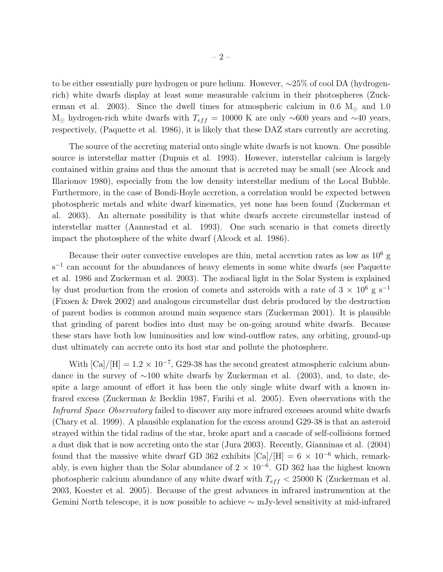to be either essentially pure hydrogen or pure helium. However, ∼25% of cool DA (hydrogenrich) white dwarfs display at least some measurable calcium in their photospheres (Zuckerman et al. 2003). Since the dwell times for atmospheric calcium in 0.6  $M_{\odot}$  and 1.0 M<sub>☉</sub> hydrogen-rich white dwarfs with  $T_{eff} = 10000$  K are only ~600 years and ~40 years, respectively, (Paquette et al. 1986), it is likely that these DAZ stars currently are accreting.

The source of the accreting material onto single white dwarfs is not known. One possible source is interstellar matter (Dupuis et al. 1993). However, interstellar calcium is largely contained within grains and thus the amount that is accreted may be small (see Alcock and Illarionov 1980), especially from the low density interstellar medium of the Local Bubble. Furthermore, in the case of Bondi-Hoyle accretion, a correlation would be expected between photospheric metals and white dwarf kinematics, yet none has been found (Zuckerman et al. 2003). An alternate possibility is that white dwarfs accrete circumstellar instead of interstellar matter (Aannestad et al. 1993). One such scenario is that comets directly impact the photosphere of the white dwarf (Alcock et al. 1986).

Because their outer convective envelopes are thin, metal accretion rates as low as  $10^6$  g  $s^{-1}$  can account for the abundances of heavy elements in some white dwarfs (see Paquette et al. 1986 and Zuckerman et al. 2003). The zodiacal light in the Solar System is explained by dust production from the erosion of comets and asteroids with a rate of  $3 \times 10^6$  g s<sup>-1</sup> (Fixsen & Dwek 2002) and analogous circumstellar dust debris produced by the destruction of parent bodies is common around main sequence stars (Zuckerman 2001). It is plausible that grinding of parent bodies into dust may be on-going around white dwarfs. Because these stars have both low luminosities and low wind-outflow rates, any orbiting, ground-up dust ultimately can accrete onto its host star and pollute the photosphere.

With  $\text{[Ca]/[H]} = 1.2 \times 10^{-7}$ , G29-38 has the second greatest atmospheric calcium abundance in the survey of ∼100 white dwarfs by Zuckerman et al. (2003), and, to date, despite a large amount of effort it has been the only single white dwarf with a known infrared excess (Zuckerman & Becklin 1987, Farihi et al. 2005). Even observations with the Infrared Space Observatory failed to discover any more infrared excesses around white dwarfs (Chary et al. 1999). A plausible explanation for the excess around G29-38 is that an asteroid strayed within the tidal radius of the star, broke apart and a cascade of self-collisions formed a dust disk that is now accreting onto the star (Jura 2003). Recently, Gianninas et al. (2004) found that the massive white dwarf GD 362 exhibits [Ca]/[H] =  $6 \times 10^{-6}$  which, remarkably, is even higher than the Solar abundance of  $2 \times 10^{-6}$ . GD 362 has the highest known photospheric calcium abundance of any white dwarf with  $T_{eff}$  < 25000 K (Zuckerman et al. 2003, Koester et al. 2005). Because of the great advances in infrared instrumention at the Gemini North telescope, it is now possible to achieve  $\sim$  mJy-level sensitivity at mid-infrared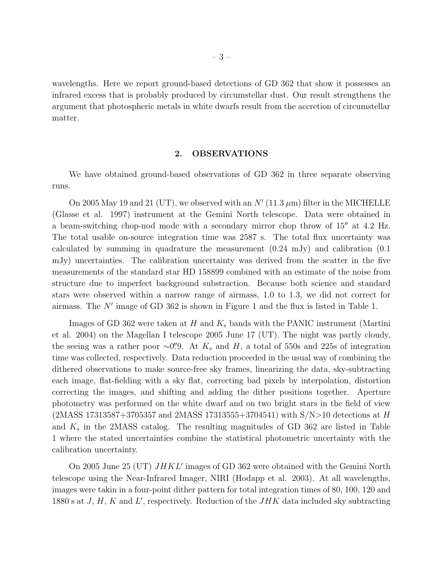wavelengths. Here we report ground-based detections of GD 362 that show it possesses an infrared excess that is probably produced by circumstellar dust. Our result strengthens the argument that photospheric metals in white dwarfs result from the accretion of circumstellar matter.

#### 2. OBSERVATIONS

We have obtained ground-based observations of GD 362 in three separate observing runs.

On 2005 May 19 and 21 (UT), we observed with an  $N'$  (11.3  $\mu$ m) filter in the MICHELLE (Glasse et al. 1997) instrument at the Gemini North telescope. Data were obtained in a beam-switching chop-nod mode with a secondary mirror chop throw of 15′′ at 4.2 Hz. The total usable on-source integration time was 2587 s. The total flux uncertainty was calculated by summing in quadrature the measurement (0.24 mJy) and calibration (0.1 mJy) uncertainties. The calibration uncertainty was derived from the scatter in the five measurements of the standard star HD 158899 combined with an estimate of the noise from structure due to imperfect background substraction. Because both science and standard stars were observed within a narrow range of airmass, 1.0 to 1.3, we did not correct for airmass. The N′ image of GD 362 is shown in Figure 1 and the flux is listed in Table 1.

Images of GD 362 were taken at H and  $K_s$  bands with the PANIC instrument (Martini et al. 2004) on the Magellan I telescope 2005 June 17 (UT). The night was partly cloudy, the seeing was a rather poor ∼0. At  $K_s$  and  $H$ , a total of 550s and 225s of integration time was collected, respectively. Data reduction proceeded in the usual way of combining the dithered observations to make source-free sky frames, linearizing the data, sky-subtracting each image, flat-fielding with a sky flat, correcting bad pixels by interpolation, distortion correcting the images, and shifting and adding the dither positions together. Aperture photometry was performed on the white dwarf and on two bright stars in the field of view  $(2MASS 17313587 + 3705357$  and  $2MASS 17313555 + 3704541)$  with  $S/N > 10$  detections at H and  $K_s$  in the 2MASS catalog. The resulting magnitudes of GD 362 are listed in Table 1 where the stated uncertainties combine the statistical photometric uncertainty with the calibration uncertainty.

On 2005 June 25 (UT)  $JHKL'$  images of GD 362 were obtained with the Gemini North telescope using the Near-Infrared Imager, NIRI (Hodapp et al. 2003). At all wavelengths, images were takin in a four-point dither pattern for total integration times of 80, 100, 120 and 1880 s at  $J, H, K$  and  $L'$ , respectively. Reduction of the  $JHK$  data included sky subtracting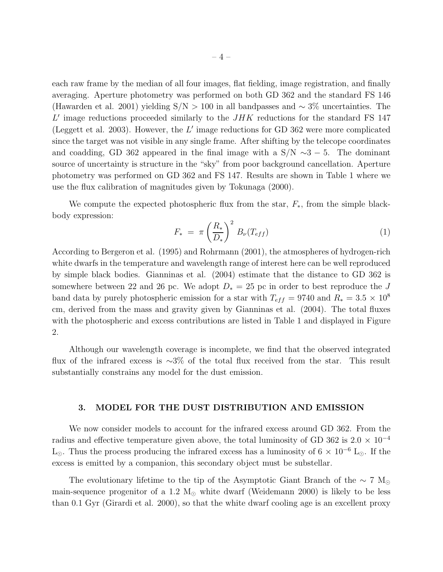each raw frame by the median of all four images, flat fielding, image registration, and finally averaging. Aperture photometry was performed on both GD 362 and the standard FS 146 (Hawarden et al. 2001) yielding S/N > 100 in all bandpasses and ∼ 3% uncertainties. The  $L'$  image reductions proceeded similarly to the  $JHK$  reductions for the standard FS 147 (Leggett et al. 2003). However, the  $L'$  image reductions for GD 362 were more complicated since the target was not visible in any single frame. After shifting by the telecope coordinates and coadding, GD 362 appeared in the final image with a  $S/N \sim 3-5$ . The dominant source of uncertainty is structure in the "sky" from poor background cancellation. Aperture photometry was performed on GD 362 and FS 147. Results are shown in Table 1 where we use the flux calibration of magnitudes given by Tokunaga (2000).

We compute the expected photospheric flux from the star,  $F_*$ , from the simple blackbody expression:

$$
F_* = \pi \left(\frac{R_*}{D_*}\right)^2 B_{\nu}(T_{eff}) \tag{1}
$$

According to Bergeron et al. (1995) and Rohrmann (2001), the atmospheres of hydrogen-rich white dwarfs in the temperature and wavelength range of interest here can be well reproduced by simple black bodies. Gianninas et al. (2004) estimate that the distance to GD 362 is somewhere between 22 and 26 pc. We adopt  $D_* = 25$  pc in order to best reproduce the J band data by purely photospheric emission for a star with  $T_{eff} = 9740$  and  $R_* = 3.5 \times 10^8$ cm, derived from the mass and gravity given by Gianninas et al. (2004). The total fluxes with the photospheric and excess contributions are listed in Table 1 and displayed in Figure 2.

Although our wavelength coverage is incomplete, we find that the observed integrated flux of the infrared excess is ∼3% of the total flux received from the star. This result substantially constrains any model for the dust emission.

#### 3. MODEL FOR THE DUST DISTRIBUTION AND EMISSION

We now consider models to account for the infrared excess around GD 362. From the radius and effective temperature given above, the total luminosity of GD 362 is 2.0  $\times$  10<sup>-4</sup> L<sub>⊙</sub>. Thus the process producing the infrared excess has a luminosity of  $6 \times 10^{-6}$  L<sub>☉</sub>. If the excess is emitted by a companion, this secondary object must be substellar.

The evolutionary lifetime to the tip of the Asymptotic Giant Branch of the  $\sim 7 \text{ M}_{\odot}$ main-sequence progenitor of a 1.2  $M_{\odot}$  white dwarf (Weidemann 2000) is likely to be less than 0.1 Gyr (Girardi et al. 2000), so that the white dwarf cooling age is an excellent proxy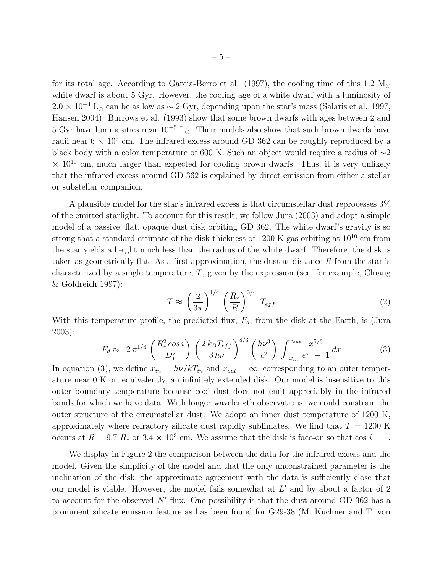for its total age. According to Garcia-Berro et al. (1997), the cooling time of this 1.2  $M_{\odot}$ white dwarf is about 5 Gyr. However, the cooling age of a white dwarf with a luminosity of  $2.0 \times 10^{-4}$  L<sub>⊙</sub> can be as low as  $\sim 2$  Gyr, depending upon the star's mass (Salaris et al. 1997, Hansen 2004). Burrows et al. (1993) show that some brown dwarfs with ages between 2 and 5 Gyr have luminosities near  $10^{-5}$  L<sub>⊙</sub>. Their models also show that such brown dwarfs have radii near  $6 \times 10^9$  cm. The infrared excess around GD 362 can be roughly reproduced by a black body with a color temperature of 600 K. Such an object would require a radius of ∼2  $\times$  10<sup>10</sup> cm, much larger than expected for cooling brown dwarfs. Thus, it is very unlikely that the infrared excess around GD 362 is explained by direct emission from either a stellar or substellar companion.

A plausible model for the star's infrared excess is that circumstellar dust reprocesses 3% of the emitted starlight. To account for this result, we follow Jura (2003) and adopt a simple model of a passive, flat, opaque dust disk orbiting GD 362. The white dwarf's gravity is so strong that a standard estimate of the disk thickness of 1200 K gas orbiting at  $10^{10}$  cm from the star yields a height much less than the radius of the white dwarf. Therefore, the disk is taken as geometrically flat. As a first approximation, the dust at distance R from the star is characterized by a single temperature,  $T$ , given by the expression (see, for example, Chiang & Goldreich 1997):

$$
T \approx \left(\frac{2}{3\pi}\right)^{1/4} \left(\frac{R_*}{R}\right)^{3/4} T_{eff} \tag{2}
$$

With this temperature profile, the predicted flux,  $F_d$ , from the disk at the Earth, is (Jura 2003):

$$
F_d \approx 12 \pi^{1/3} \left(\frac{R_*^2 \cos i}{D_*^2}\right) \left(\frac{2 k_B T_{eff}}{3 h\nu}\right)^{8/3} \left(\frac{h\nu^3}{c^2}\right) \int_{x_{in}}^{x_{out}} \frac{x^{5/3}}{e^x - 1} dx
$$
 (3)

In equation (3), we define  $x_{in} = h\nu/kT_{in}$  and  $x_{out} = \infty$ , corresponding to an outer temperature near 0 K or, equivalently, an infinitely extended disk. Our model is insensitive to this outer boundary temperature because cool dust does not emit appreciably in the infrared bands for which we have data. With longer wavelength observations, we could constrain the outer structure of the circumstellar dust. We adopt an inner dust temperature of 1200 K, approximately where refractory silicate dust rapidly sublimates. We find that  $T = 1200$  K occurs at  $R = 9.7 R_*$  or  $3.4 \times 10^9$  cm. We assume that the disk is face-on so that cos  $i = 1$ .

We display in Figure 2 the comparison between the data for the infrared excess and the model. Given the simplicity of the model and that the only unconstrained parameter is the inclination of the disk, the approximate agreement with the data is sufficiently close that our model is viable. However, the model fails somewhat at  $L'$  and by about a factor of 2 to account for the observed  $N'$  flux. One possibility is that the dust around GD 362 has a prominent silicate emission feature as has been found for G29-38 (M. Kuchner and T. von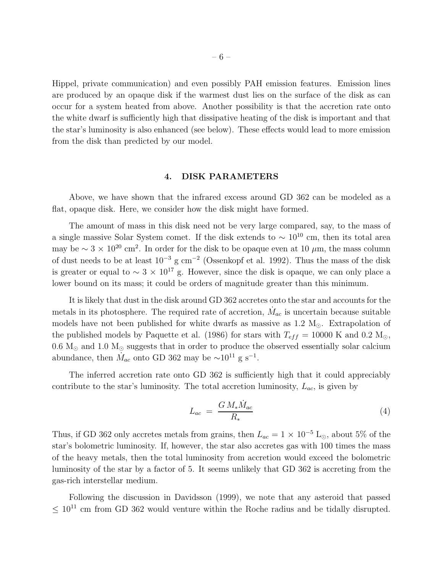Hippel, private communication) and even possibly PAH emission features. Emission lines are produced by an opaque disk if the warmest dust lies on the surface of the disk as can occur for a system heated from above. Another possibility is that the accretion rate onto the white dwarf is sufficiently high that dissipative heating of the disk is important and that the star's luminosity is also enhanced (see below). These effects would lead to more emission from the disk than predicted by our model.

## 4. DISK PARAMETERS

Above, we have shown that the infrared excess around GD 362 can be modeled as a flat, opaque disk. Here, we consider how the disk might have formed.

The amount of mass in this disk need not be very large compared, say, to the mass of a single massive Solar System comet. If the disk extends to  $\sim 10^{10}$  cm, then its total area may be  $\sim 3 \times 10^{20}$  cm<sup>2</sup>. In order for the disk to be opaque even at 10  $\mu$ m, the mass column of dust needs to be at least  $10^{-3}$  g cm<sup>-2</sup> (Ossenkopf et al. 1992). Thus the mass of the disk is greater or equal to  $\sim 3 \times 10^{17}$  g. However, since the disk is opaque, we can only place a lower bound on its mass; it could be orders of magnitude greater than this minimum.

It is likely that dust in the disk around GD 362 accretes onto the star and accounts for the metals in its photosphere. The required rate of accretion,  $\dot{M}_{ac}$  is uncertain because suitable models have not been published for white dwarfs as massive as  $1.2 M_{\odot}$ . Extrapolation of the published models by Paquette et al. (1986) for stars with  $T_{eff} = 10000 \text{ K}$  and 0.2 M<sub>☉</sub>, 0.6  $M_{\odot}$  and 1.0  $M_{\odot}$  suggests that in order to produce the observed essentially solar calcium abundance, then  $\dot{M}_{ac}$  onto GD 362 may be ~10<sup>11</sup> g s<sup>-1</sup>.

The inferred accretion rate onto GD 362 is sufficiently high that it could appreciably contribute to the star's luminosity. The total accretion luminosity,  $L_{ac}$ , is given by

$$
L_{ac} = \frac{GM_{*}\dot{M}_{ac}}{R_{*}}\tag{4}
$$

Thus, if GD 362 only accretes metals from grains, then  $L_{ac} = 1 \times 10^{-5}$  L<sub>☉</sub>, about 5% of the star's bolometric luminosity. If, however, the star also accretes gas with 100 times the mass of the heavy metals, then the total luminosity from accretion would exceed the bolometric luminosity of the star by a factor of 5. It seems unlikely that GD 362 is accreting from the gas-rich interstellar medium.

Following the discussion in Davidsson (1999), we note that any asteroid that passed  $\leq 10^{11}$  cm from GD 362 would venture within the Roche radius and be tidally disrupted.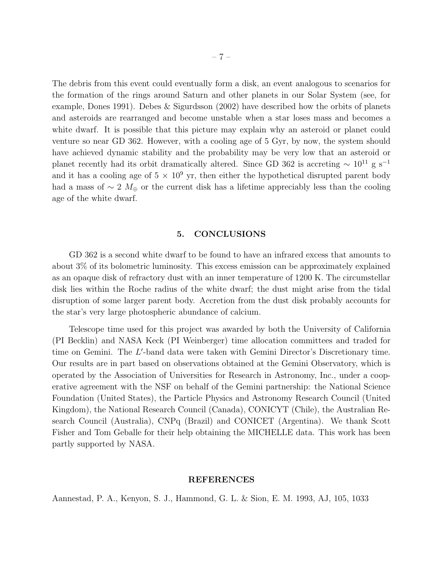The debris from this event could eventually form a disk, an event analogous to scenarios for the formation of the rings around Saturn and other planets in our Solar System (see, for example, Dones 1991). Debes & Sigurdsson (2002) have described how the orbits of planets and asteroids are rearranged and become unstable when a star loses mass and becomes a white dwarf. It is possible that this picture may explain why an asteroid or planet could venture so near GD 362. However, with a cooling age of 5 Gyr, by now, the system should have achieved dynamic stability and the probability may be very low that an asteroid or planet recently had its orbit dramatically altered. Since GD 362 is accreting  $\sim 10^{11}$  g s<sup>-1</sup> and it has a cooling age of  $5 \times 10^9$  yr, then either the hypothetical disrupted parent body had a mass of ∼ 2  $M_{\oplus}$  or the current disk has a lifetime appreciably less than the cooling age of the white dwarf.

## 5. CONCLUSIONS

GD 362 is a second white dwarf to be found to have an infrared excess that amounts to about 3% of its bolometric luminosity. This excess emission can be approximately explained as an opaque disk of refractory dust with an inner temperature of 1200 K. The circumstellar disk lies within the Roche radius of the white dwarf; the dust might arise from the tidal disruption of some larger parent body. Accretion from the dust disk probably accounts for the star's very large photospheric abundance of calcium.

Telescope time used for this project was awarded by both the University of California (PI Becklin) and NASA Keck (PI Weinberger) time allocation committees and traded for time on Gemini. The L'-band data were taken with Gemini Director's Discretionary time. Our results are in part based on observations obtained at the Gemini Observatory, which is operated by the Association of Universities for Research in Astronomy, Inc., under a cooperative agreement with the NSF on behalf of the Gemini partnership: the National Science Foundation (United States), the Particle Physics and Astronomy Research Council (United Kingdom), the National Research Council (Canada), CONICYT (Chile), the Australian Research Council (Australia), CNPq (Brazil) and CONICET (Argentina). We thank Scott Fisher and Tom Geballe for their help obtaining the MICHELLE data. This work has been partly supported by NASA.

#### REFERENCES

Aannestad, P. A., Kenyon, S. J., Hammond, G. L. & Sion, E. M. 1993, AJ, 105, 1033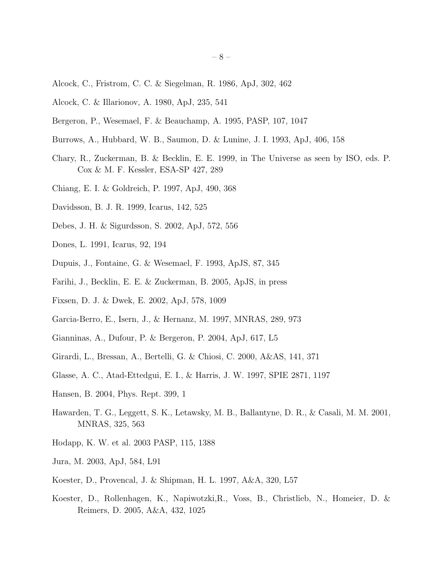- Alcock, C., Fristrom, C. C. & Siegelman, R. 1986, ApJ, 302, 462
- Alcock, C. & Illarionov, A. 1980, ApJ, 235, 541
- Bergeron, P., Wesemael, F. & Beauchamp, A. 1995, PASP, 107, 1047
- Burrows, A., Hubbard, W. B., Saumon, D. & Lunine, J. I. 1993, ApJ, 406, 158
- Chary, R., Zuckerman, B. & Becklin, E. E. 1999, in The Universe as seen by ISO, eds. P. Cox & M. F. Kessler, ESA-SP 427, 289
- Chiang, E. I. & Goldreich, P. 1997, ApJ, 490, 368
- Davidsson, B. J. R. 1999, Icarus, 142, 525
- Debes, J. H. & Sigurdsson, S. 2002, ApJ, 572, 556
- Dones, L. 1991, Icarus, 92, 194
- Dupuis, J., Fontaine, G. & Wesemael, F. 1993, ApJS, 87, 345
- Farihi, J., Becklin, E. E. & Zuckerman, B. 2005, ApJS, in press
- Fixsen, D. J. & Dwek, E. 2002, ApJ, 578, 1009
- Garcia-Berro, E., Isern, J., & Hernanz, M. 1997, MNRAS, 289, 973
- Gianninas, A., Dufour, P. & Bergeron, P. 2004, ApJ, 617, L5
- Girardi, L., Bressan, A., Bertelli, G. & Chiosi, C. 2000, A&AS, 141, 371
- Glasse, A. C., Atad-Ettedgui, E. I., & Harris, J. W. 1997, SPIE 2871, 1197
- Hansen, B. 2004, Phys. Rept. 399, 1
- Hawarden, T. G., Leggett, S. K., Letawsky, M. B., Ballantyne, D. R., & Casali, M. M. 2001, MNRAS, 325, 563
- Hodapp, K. W. et al. 2003 PASP, 115, 1388
- Jura, M. 2003, ApJ, 584, L91
- Koester, D., Provencal, J. & Shipman, H. L. 1997, A&A, 320, L57
- Koester, D., Rollenhagen, K., Napiwotzki,R., Voss, B., Christlieb, N., Homeier, D. & Reimers, D. 2005, A&A, 432, 1025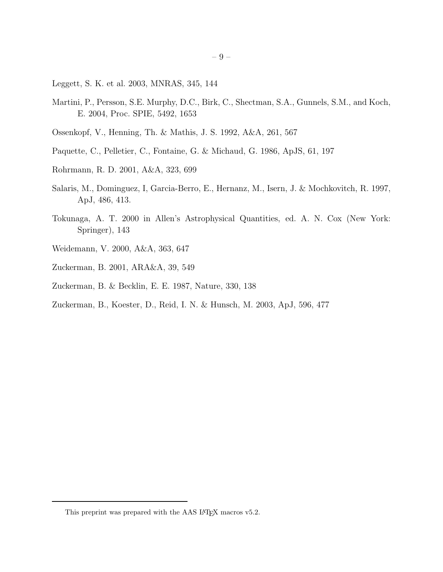- Leggett, S. K. et al. 2003, MNRAS, 345, 144
- Martini, P., Persson, S.E. Murphy, D.C., Birk, C., Shectman, S.A., Gunnels, S.M., and Koch, E. 2004, Proc. SPIE, 5492, 1653
- Ossenkopf, V., Henning, Th. & Mathis, J. S. 1992, A&A, 261, 567
- Paquette, C., Pelletier, C., Fontaine, G. & Michaud, G. 1986, ApJS, 61, 197
- Rohrmann, R. D. 2001, A&A, 323, 699
- Salaris, M., Dominguez, I, Garcia-Berro, E., Hernanz, M., Isern, J. & Mochkovitch, R. 1997, ApJ, 486, 413.
- Tokunaga, A. T. 2000 in Allen's Astrophysical Quantities, ed. A. N. Cox (New York: Springer), 143
- Weidemann, V. 2000, A&A, 363, 647
- Zuckerman, B. 2001, ARA&A, 39, 549
- Zuckerman, B. & Becklin, E. E. 1987, Nature, 330, 138
- Zuckerman, B., Koester, D., Reid, I. N. & Hunsch, M. 2003, ApJ, 596, 477

This preprint was prepared with the AAS IATEX macros v5.2.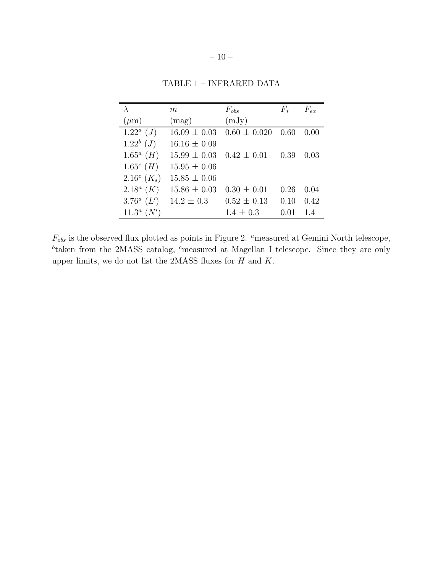|                                     | m                | $F_{obs}$        | $F_*$ | $F_{ex}$ |
|-------------------------------------|------------------|------------------|-------|----------|
| $(\mu m)$                           | (mag)            | (mJy)            |       |          |
| $1.22^a$ ( <i>J</i> )               | $16.09 \pm 0.03$ | $0.60 \pm 0.020$ | 0.60  | 0.00     |
| $1.22^b$ ( <i>J</i> )               | $16.16 \pm 0.09$ |                  |       |          |
| $1.65^a$ ( <i>H</i> )               | $15.99 \pm 0.03$ | $0.42 \pm 0.01$  | 0.39  | 0.03     |
| $1.65^c$ ( <i>H</i> )               | $15.95 \pm 0.06$ |                  |       |          |
| 2.16 <sup>c</sup> $(K_s)$           | $15.85 \pm 0.06$ |                  |       |          |
| $2.18^a$ (K)                        | $15.86 \pm 0.03$ | $0.30 \pm 0.01$  | 0.26  | 0.04     |
| 3.76 <sup><math>a</math></sup> (L') | $14.2 \pm 0.3$   | $0.52 \pm 0.13$  | 0.10  | 0.42     |
| $11.3^a$ $(N')$                     |                  | $1.4 \pm 0.3$    | 0.01  | 1.4      |

TABLE 1 – INFRARED DATA

 $F_{obs}$  is the observed flux plotted as points in Figure 2.  $\emph{^a}$  measured at Gemini North telescope, <sup>b</sup>taken from the 2MASS catalog, <sup>c</sup>measured at Magellan I telescope. Since they are only upper limits, we do not list the 2MASS fluxes for  $H$  and  $K$ .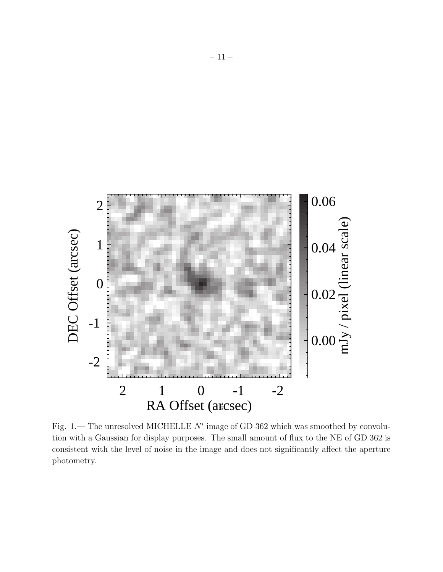

Fig. 1.— The unresolved MICHELLE  $N'$  image of GD 362 which was smoothed by convolution with a Gaussian for display purposes. The small amount of flux to the NE of GD 362 is consistent with the level of noise in the image and does not significantly affect the aperture photometry.